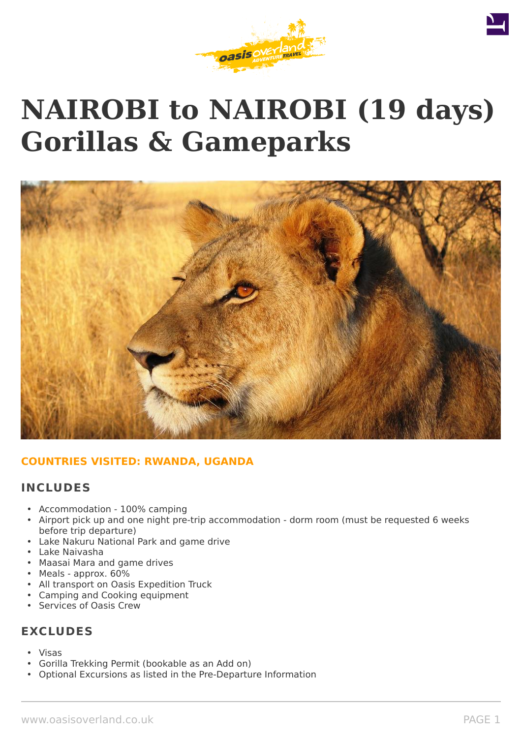

# **NAIROBI to NAIROBI (19 days) Gorillas & Gameparks**



# **COUNTRIES VISITED: RWANDA, UGANDA**

# **INCLUDES**

- Accommodation 100% camping
- Airport pick up and one night pre-trip accommodation dorm room (must be requested 6 weeks before trip departure)
- Lake Nakuru National Park and game drive
- Lake Naivasha
- Maasai Mara and game drives
- Meals approx. 60%
- All transport on Oasis Expedition Truck
- Camping and Cooking equipment
- Services of Oasis Crew

# **EXCLUDES**

- Visas
- Gorilla Trekking Permit (bookable as an Add on)
- Optional Excursions as listed in the Pre-Departure Information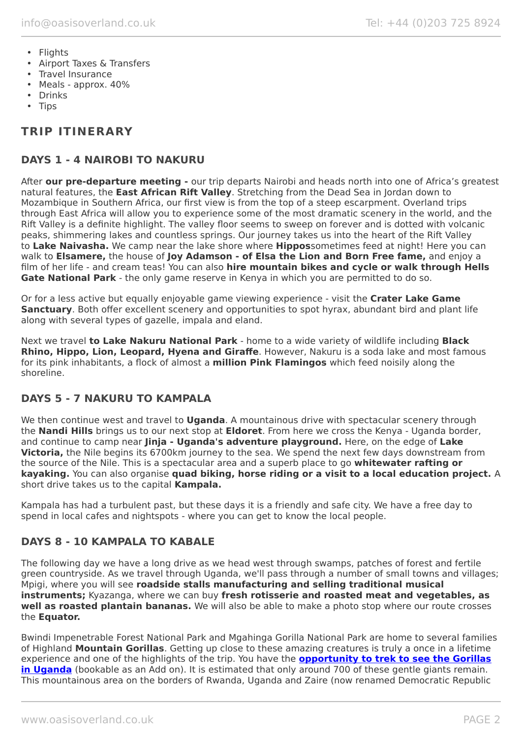- Flights
- Airport Taxes & Transfers
- Travel Insurance
- Meals approx. 40%
- Drinks
- Tips

# **TRIP ITINERARY**

# **DAYS 1 - 4 NAIROBI TO NAKURU**

After **our pre-departure meeting -** our trip departs Nairobi and heads north into one of Africa's greatest natural features, the **East African Rift Valley**. Stretching from the Dead Sea in Jordan down to Mozambique in Southern Africa, our first view is from the top of a steep escarpment. Overland trips through East Africa will allow you to experience some of the most dramatic scenery in the world, and the Rift Valley is a definite highlight. The valley floor seems to sweep on forever and is dotted with volcanic peaks, shimmering lakes and countless springs. Our journey takes us into the heart of the Rift Valley to **Lake Naivasha.** We camp near the lake shore where **Hippos**sometimes feed at night! Here you can walk to **Elsamere,** the house of **Joy Adamson - of Elsa the Lion and Born Free fame,** and enjoy a film of her life - and cream teas! You can also **hire mountain bikes and cycle or walk through Hells Gate National Park** - the only game reserve in Kenya in which you are permitted to do so.

Or for a less active but equally enjoyable game viewing experience - visit the **Crater Lake Game Sanctuary**. Both offer excellent scenery and opportunities to spot hyrax, abundant bird and plant life along with several types of gazelle, impala and eland.

Next we travel **to Lake Nakuru National Park** - home to a wide variety of wildlife including **Black Rhino, Hippo, Lion, Leopard, Hyena and Giraffe**. However, Nakuru is a soda lake and most famous for its pink inhabitants, a flock of almost a **million Pink Flamingos** which feed noisily along the shoreline.

# **DAYS 5 - 7 NAKURU TO KAMPALA**

We then continue west and travel to **Uganda**. A mountainous drive with spectacular scenery through the **Nandi Hills** brings us to our next stop at **Eldoret**. From here we cross the Kenya - Uganda border, and continue to camp near **Jinja - Uganda's adventure playground.** Here, on the edge of **Lake Victoria,** the Nile begins its 6700km journey to the sea. We spend the next few days downstream from the source of the Nile. This is a spectacular area and a superb place to go **whitewater rafting or kayaking.** You can also organise **quad biking, horse riding or a visit to a local education project.** A short drive takes us to the capital **Kampala.**

Kampala has had a turbulent past, but these days it is a friendly and safe city. We have a free day to spend in local cafes and nightspots - where you can get to know the local people.

# **DAYS 8 - 10 KAMPALA TO KABALE**

The following day we have a long drive as we head west through swamps, patches of forest and fertile green countryside. As we travel through Uganda, we'll pass through a number of small towns and villages; Mpigi, where you will see **roadside stalls manufacturing and selling traditional musical instruments;** Kyazanga, where we can buy **fresh rotisserie and roasted meat and vegetables, as well as roasted plantain bananas.** We will also be able to make a photo stop where our route crosses the **Equator.**

Bwindi Impenetrable Forest National Park and Mgahinga Gorilla National Park are home to several families of Highland **Mountain Gorillas**. Getting up close to these amazing creatures is truly a once in a lifetime experience and one of the highlights of the trip. You have the **[opportunity to trek to see the Gorillas](https://www.oasisoverland.co.uk/mountain-gorilla-trek) [in Uganda](https://www.oasisoverland.co.uk/mountain-gorilla-trek)** (bookable as an Add on). It is estimated that only around 700 of these gentle giants remain. This mountainous area on the borders of Rwanda, Uganda and Zaire (now renamed Democratic Republic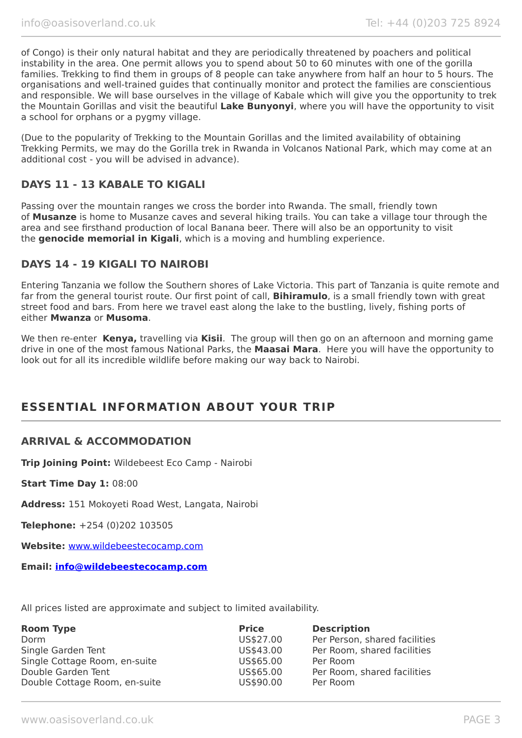of Congo) is their only natural habitat and they are periodically threatened by poachers and political instability in the area. One permit allows you to spend about 50 to 60 minutes with one of the gorilla families. Trekking to find them in groups of 8 people can take anywhere from half an hour to 5 hours. The organisations and well-trained guides that continually monitor and protect the families are conscientious and responsible. We will base ourselves in the village of Kabale which will give you the opportunity to trek the Mountain Gorillas and visit the beautiful **Lake Bunyonyi**, where you will have the opportunity to visit a school for orphans or a pygmy village.

(Due to the popularity of Trekking to the Mountain Gorillas and the limited availability of obtaining Trekking Permits, we may do the Gorilla trek in Rwanda in Volcanos National Park, which may come at an additional cost - you will be advised in advance).

# **DAYS 11 - 13 KABALE TO KIGALI**

Passing over the mountain ranges we cross the border into Rwanda. The small, friendly town of **Musanze** is home to Musanze caves and several hiking trails. You can take a village tour through the area and see firsthand production of local Banana beer. There will also be an opportunity to visit the **genocide memorial in Kigali**, which is a moving and humbling experience.

# **DAYS 14 - 19 KIGALI TO NAIROBI**

Entering Tanzania we follow the Southern shores of Lake Victoria. This part of Tanzania is quite remote and far from the general tourist route. Our first point of call, **Bihiramulo**, is a small friendly town with great street food and bars. From here we travel east along the lake to the bustling, lively, fishing ports of either **Mwanza** or **Musoma**.

We then re-enter **Kenya,** travelling via **Kisii**. The group will then go on an afternoon and morning game drive in one of the most famous National Parks, the **Maasai Mara**. Here you will have the opportunity to look out for all its incredible wildlife before making our way back to Nairobi.

# **ESSENTIAL INFORMATION ABOUT YOUR TRIP**

# **ARRIVAL & ACCOMMODATION**

**Trip Joining Point:** Wildebeest Eco Camp - Nairobi

**Start Time Day 1:** 08:00

**Address:** 151 Mokoyeti Road West, Langata, Nairobi

**Telephone:** +254 (0)202 103505

**Website:** [www.wildebeestecocamp.com](http://www.wildebeestecocamp.com/)

**Email: [info@wildebeestecocamp.com](mailto:info@wildebeestecocamp.com)**

All prices listed are approximate and subject to limited availability.

| <b>Room Type</b>              | <b>Price</b> | <b>Description</b>            |
|-------------------------------|--------------|-------------------------------|
| Dorm                          | US\$27.00    | Per Person, shared facilities |
| Single Garden Tent            | US\$43.00    | Per Room, shared facilities   |
| Single Cottage Room, en-suite | US\$65.00    | Per Room                      |
| Double Garden Tent            | US\$65.00    | Per Room, shared facilities   |
| Double Cottage Room, en-suite | US\$90.00    | Per Room                      |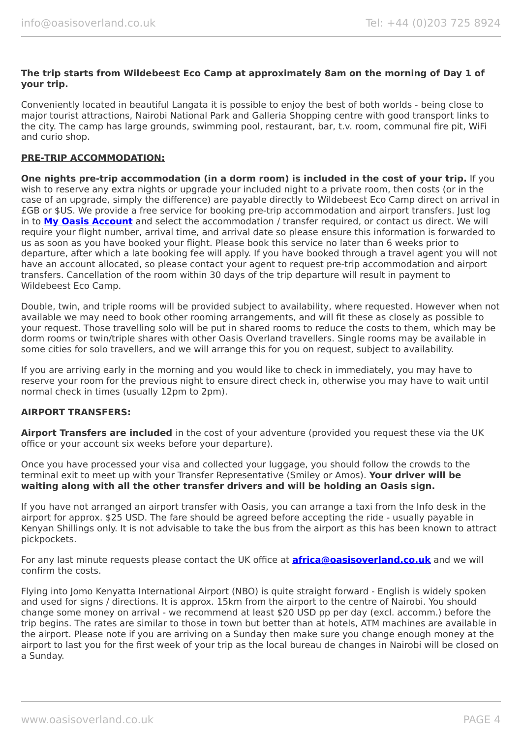### **The trip starts from Wildebeest Eco Camp at approximately 8am on the morning of Day 1 of your trip.**

Conveniently located in beautiful Langata it is possible to enjoy the best of both worlds - being close to major tourist attractions, Nairobi National Park and Galleria Shopping centre with good transport links to the city. The camp has large grounds, swimming pool, restaurant, bar, t.v. room, communal fire pit, WiFi and curio shop.

### **PRE-TRIP ACCOMMODATION:**

**One nights pre-trip accommodation (in a dorm room) is included in the cost of your trip.** If you wish to reserve any extra nights or upgrade your included night to a private room, then costs (or in the case of an upgrade, simply the difference) are payable directly to Wildebeest Eco Camp direct on arrival in £GB or \$US. We provide a free service for booking pre-trip accommodation and airport transfers. Just log in to **[My Oasis Account](https://oasisportal.eecsoftware.com/login.php)** and select the accommodation / transfer required, or contact us direct. We will require your flight number, arrival time, and arrival date so please ensure this information is forwarded to us as soon as you have booked your flight. Please book this service no later than 6 weeks prior to departure, after which a late booking fee will apply. If you have booked through a travel agent you will not have an account allocated, so please contact your agent to request pre-trip accommodation and airport transfers. Cancellation of the room within 30 days of the trip departure will result in payment to Wildebeest Eco Camp.

Double, twin, and triple rooms will be provided subject to availability, where requested. However when not available we may need to book other rooming arrangements, and will fit these as closely as possible to your request. Those travelling solo will be put in shared rooms to reduce the costs to them, which may be dorm rooms or twin/triple shares with other Oasis Overland travellers. Single rooms may be available in some cities for solo travellers, and we will arrange this for you on request, subject to availability.

If you are arriving early in the morning and you would like to check in immediately, you may have to reserve your room for the previous night to ensure direct check in, otherwise you may have to wait until normal check in times (usually 12pm to 2pm).

### **AIRPORT TRANSFERS:**

**Airport Transfers are included** in the cost of your adventure (provided you request these via the UK office or your account six weeks before your departure).

Once you have processed your visa and collected your luggage, you should follow the crowds to the terminal exit to meet up with your Transfer Representative (Smiley or Amos). **Your driver will be waiting along with all the other transfer drivers and will be holding an Oasis sign.**

If you have not arranged an airport transfer with Oasis, you can arrange a taxi from the Info desk in the airport for approx. \$25 USD. The fare should be agreed before accepting the ride - usually payable in Kenyan Shillings only. It is not advisable to take the bus from the airport as this has been known to attract pickpockets.

For any last minute requests please contact the UK office at **[africa@oasisoverland.co.uk](mailto:africa@oasisoverland.co.uk)** and we will confirm the costs.

Flying into Jomo Kenyatta International Airport (NBO) is quite straight forward - English is widely spoken and used for signs / directions. It is approx. 15km from the airport to the centre of Nairobi. You should change some money on arrival - we recommend at least \$20 USD pp per day (excl. accomm.) before the trip begins. The rates are similar to those in town but better than at hotels, ATM machines are available in the airport. Please note if you are arriving on a Sunday then make sure you change enough money at the airport to last you for the first week of your trip as the local bureau de changes in Nairobi will be closed on a Sunday.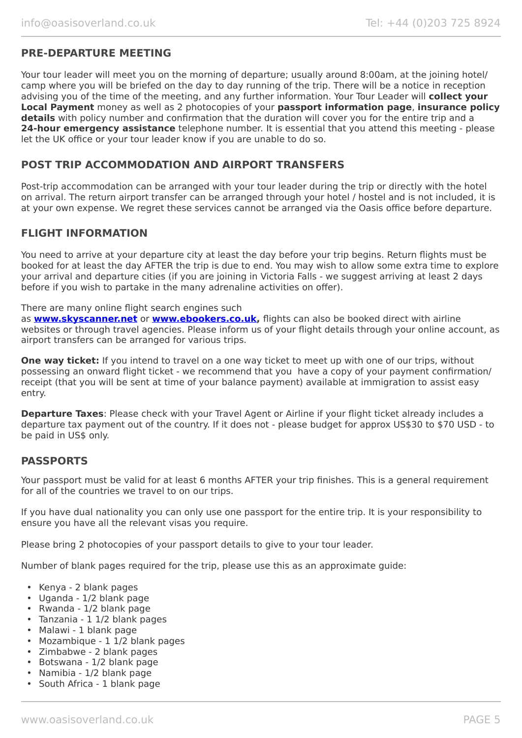# **PRE-DEPARTURE MEETING**

Your tour leader will meet you on the morning of departure; usually around 8:00am, at the joining hotel/ camp where you will be briefed on the day to day running of the trip. There will be a notice in reception advising you of the time of the meeting, and any further information. Your Tour Leader will **collect your Local Payment** money as well as 2 photocopies of your **passport information page**, **insurance policy details** with policy number and confirmation that the duration will cover you for the entire trip and a **24-hour emergency assistance** telephone number. It is essential that you attend this meeting - please let the UK office or your tour leader know if you are unable to do so.

# **POST TRIP ACCOMMODATION AND AIRPORT TRANSFERS**

Post-trip accommodation can be arranged with your tour leader during the trip or directly with the hotel on arrival. The return airport transfer can be arranged through your hotel / hostel and is not included, it is at your own expense. We regret these services cannot be arranged via the Oasis office before departure.

### **FLIGHT INFORMATION**

You need to arrive at your departure city at least the day before your trip begins. Return flights must be booked for at least the day AFTER the trip is due to end. You may wish to allow some extra time to explore your arrival and departure cities (if you are joining in Victoria Falls - we suggest arriving at least 2 days before if you wish to partake in the many adrenaline activities on offer).

### There are many online flight search engines such

as **[www.skyscanner.net](http://www.dpbolvw.net/click-5720161-10639348)** or **[www.ebookers.co.uk,](http://www.ebookers.co.uk/)** flights can also be booked direct with airline websites or through travel agencies. Please inform us of your flight details through your online account, as airport transfers can be arranged for various trips.

**One way ticket:** If you intend to travel on a one way ticket to meet up with one of our trips, without possessing an onward flight ticket - we recommend that you have a copy of your payment confirmation/ receipt (that you will be sent at time of your balance payment) available at immigration to assist easy entry.

**Departure Taxes**: Please check with your Travel Agent or Airline if your flight ticket already includes a departure tax payment out of the country. If it does not - please budget for approx US\$30 to \$70 USD - to be paid in US\$ only.

### **PASSPORTS**

Your passport must be valid for at least 6 months AFTER your trip finishes. This is a general requirement for all of the countries we travel to on our trips.

If you have dual nationality you can only use one passport for the entire trip. It is your responsibility to ensure you have all the relevant visas you require.

Please bring 2 photocopies of your passport details to give to your tour leader.

Number of blank pages required for the trip, please use this as an approximate guide:

- Kenya 2 blank pages
- Uganda 1/2 blank page
- Rwanda 1/2 blank page
- Tanzania 1 1/2 blank pages
- Malawi 1 blank page
- Mozambique 1 1/2 blank pages
- Zimbabwe 2 blank pages
- Botswana 1/2 blank page
- Namibia 1/2 blank page
- South Africa 1 blank page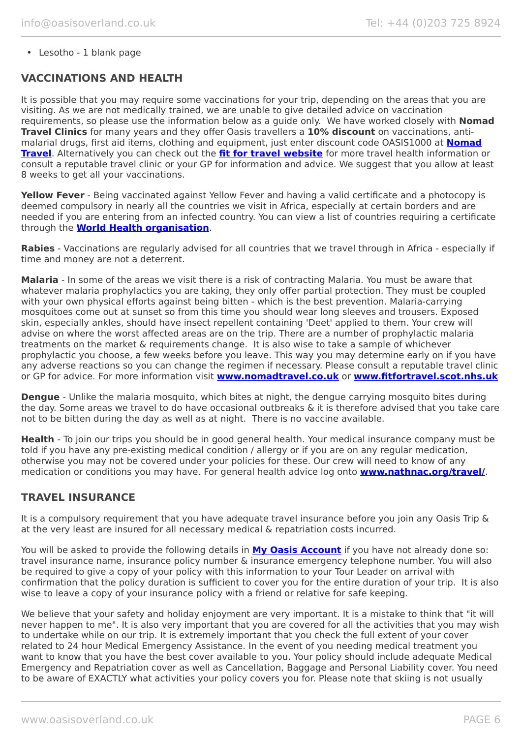• Lesotho - 1 blank page

# **VACCINATIONS AND HEALTH**

It is possible that you may require some vaccinations for your trip, depending on the areas that you are visiting. As we are not medically trained, we are unable to give detailed advice on vaccination requirements, so please use the information below as a guide only. We have worked closely with **Nomad Travel Clinics** for many years and they offer Oasis travellers a **10% discount** on vaccinations, antimalarial drugs, first aid items, clothing and equipment, just enter discount code OASIS1000 at **[Nomad](http://www.nomadtravel.co.uk/) [Travel](http://www.nomadtravel.co.uk/)**. Alternatively you can check out the **[fit for travel website](https://www.fitfortravel.nhs.uk/home)** for more travel health information or consult a reputable travel clinic or your GP for information and advice. We suggest that you allow at least 8 weeks to get all your vaccinations.

**Yellow Fever** - Being vaccinated against Yellow Fever and having a valid certificate and a photocopy is deemed compulsory in nearly all the countries we visit in Africa, especially at certain borders and are needed if you are entering from an infected country. You can view a list of countries requiring a certificate through the **[World Health organisation](http://www.who.int/ith/ITH_country_list.pdf)**.

**Rabies** - Vaccinations are regularly advised for all countries that we travel through in Africa - especially if time and money are not a deterrent.

**Malaria** - In some of the areas we visit there is a risk of contracting Malaria. You must be aware that whatever malaria prophylactics you are taking, they only offer partial protection. They must be coupled with your own physical efforts against being bitten - which is the best prevention. Malaria-carrying mosquitoes come out at sunset so from this time you should wear long sleeves and trousers. Exposed skin, especially ankles, should have insect repellent containing 'Deet' applied to them. Your crew will advise on where the worst affected areas are on the trip. There are a number of prophylactic malaria treatments on the market & requirements change. It is also wise to take a sample of whichever prophylactic you choose, a few weeks before you leave. This way you may determine early on if you have any adverse reactions so you can change the regimen if necessary. Please consult a reputable travel clinic or GP for advice. For more information visit **[www.nomadtravel.co.uk](http://www.nomadtravel.co.uk/)** or **[www.fitfortravel.scot.nhs.uk](http://www.fitfortravel.scot.nhs.uk/)**

**Dengue** - Unlike the malaria mosquito, which bites at night, the dengue carrying mosquito bites during the day. Some areas we travel to do have occasional outbreaks & it is therefore advised that you take care not to be bitten during the day as well as at night. There is no vaccine available.

**Health** - To join our trips you should be in good general health. Your medical insurance company must be told if you have any pre-existing medical condition / allergy or if you are on any regular medication, otherwise you may not be covered under your policies for these. Our crew will need to know of any medication or conditions you may have. For general health advice log onto **[www.nathnac.org/travel/](http://www.nathnac.org/travel/)**.

### **TRAVEL INSURANCE**

It is a compulsory requirement that you have adequate travel insurance before you join any Oasis Trip & at the very least are insured for all necessary medical & repatriation costs incurred.

You will be asked to provide the following details in **My [Oasis Account](https://oasisportal.eecsoftware.com/)** if you have not already done so: travel insurance name, insurance policy number & insurance emergency telephone number. You will also be required to give a copy of your policy with this information to your Tour Leader on arrival with confirmation that the policy duration is sufficient to cover you for the entire duration of your trip. It is also wise to leave a copy of your insurance policy with a friend or relative for safe keeping.

We believe that your safety and holiday enjoyment are very important. It is a mistake to think that "it will never happen to me". It is also very important that you are covered for all the activities that you may wish to undertake while on our trip. It is extremely important that you check the full extent of your cover related to 24 hour Medical Emergency Assistance. In the event of you needing medical treatment you want to know that you have the best cover available to you. Your policy should include adequate Medical Emergency and Repatriation cover as well as Cancellation, Baggage and Personal Liability cover. You need to be aware of EXACTLY what activities your policy covers you for. Please note that skiing is not usually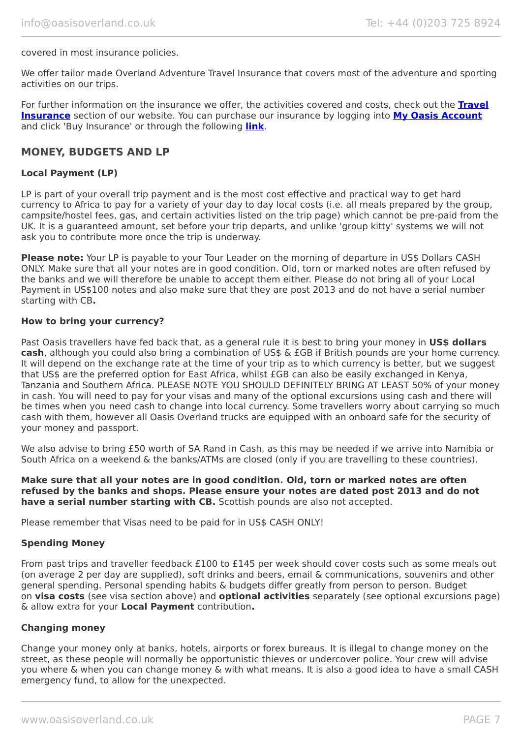### covered in most insurance policies.

We offer tailor made Overland Adventure Travel Insurance that covers most of the adventure and sporting activities on our trips.

For further information on the insurance we offer, the activities covered and costs, check out the **[Travel](https://www.oasisoverland.co.uk/travel-insurance) [Insurance](https://www.oasisoverland.co.uk/travel-insurance)** section of our website. You can purchase our insurance by logging into **[My Oasis Account](https://oasisportal.eecsoftware.com/)** and click 'Buy Insurance' or through the following **[link](https://www.campbellirvinedirect.com/oasisoverland/)**.

### **MONEY, BUDGETS AND LP**

### **Local Payment (LP)**

LP is part of your overall trip payment and is the most cost effective and practical way to get hard currency to Africa to pay for a variety of your day to day local costs (i.e. all meals prepared by the group, campsite/hostel fees, gas, and certain activities listed on the trip page) which cannot be pre-paid from the UK. It is a guaranteed amount, set before your trip departs, and unlike 'group kitty' systems we will not ask you to contribute more once the trip is underway.

**Please note:** Your LP is payable to your Tour Leader on the morning of departure in US\$ Dollars CASH ONLY. Make sure that all your notes are in good condition. Old, torn or marked notes are often refused by the banks and we will therefore be unable to accept them either. Please do not bring all of your Local Payment in US\$100 notes and also make sure that they are post 2013 and do not have a serial number starting with CB**.**

### **How to bring your currency?**

Past Oasis travellers have fed back that, as a general rule it is best to bring your money in **US\$ dollars cash**, although you could also bring a combination of US\$ & £GB if British pounds are your home currency. It will depend on the exchange rate at the time of your trip as to which currency is better, but we suggest that US\$ are the preferred option for East Africa, whilst £GB can also be easily exchanged in Kenya, Tanzania and Southern Africa. PLEASE NOTE YOU SHOULD DEFINITELY BRING AT LEAST 50% of your money in cash. You will need to pay for your visas and many of the optional excursions using cash and there will be times when you need cash to change into local currency. Some travellers worry about carrying so much cash with them, however all Oasis Overland trucks are equipped with an onboard safe for the security of your money and passport.

We also advise to bring £50 worth of SA Rand in Cash, as this may be needed if we arrive into Namibia or South Africa on a weekend & the banks/ATMs are closed (only if you are travelling to these countries).

**Make sure that all your notes are in good condition. Old, torn or marked notes are often refused by the banks and shops. Please ensure your notes are dated post 2013 and do not have a serial number starting with CB.** Scottish pounds are also not accepted.

Please remember that Visas need to be paid for in US\$ CASH ONLY!

### **Spending Money**

From past trips and traveller feedback £100 to £145 per week should cover costs such as some meals out (on average 2 per day are supplied), soft drinks and beers, email & communications, souvenirs and other general spending. Personal spending habits & budgets differ greatly from person to person. Budget on **visa costs** (see visa section above) and **optional activities** separately (see optional excursions page) & allow extra for your **Local Payment** contribution**.**

### **Changing money**

Change your money only at banks, hotels, airports or forex bureaus. It is illegal to change money on the street, as these people will normally be opportunistic thieves or undercover police. Your crew will advise you where & when you can change money & with what means. It is also a good idea to have a small CASH emergency fund, to allow for the unexpected.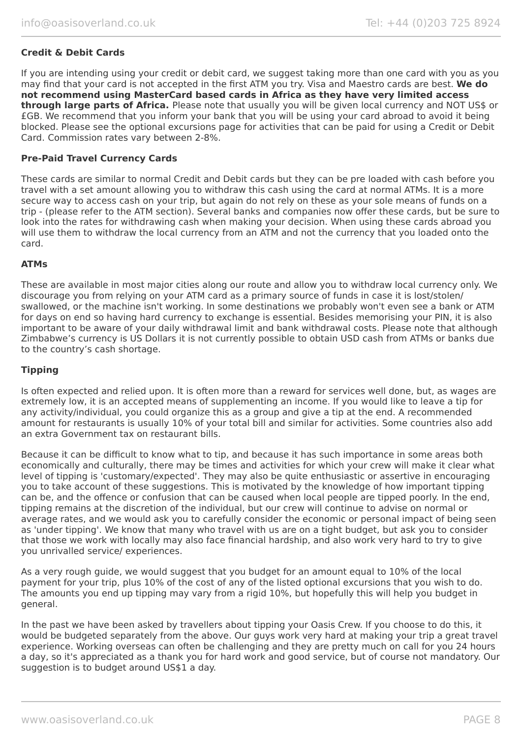### **Credit & Debit Cards**

If you are intending using your credit or debit card, we suggest taking more than one card with you as you may find that your card is not accepted in the first ATM you try. Visa and Maestro cards are best. **We do not recommend using MasterCard based cards in Africa as they have very limited access through large parts of Africa.** Please note that usually you will be given local currency and NOT US\$ or £GB. We recommend that you inform your bank that you will be using your card abroad to avoid it being blocked. Please see the optional excursions page for activities that can be paid for using a Credit or Debit Card. Commission rates vary between 2-8%.

### **Pre-Paid Travel Currency Cards**

These cards are similar to normal Credit and Debit cards but they can be pre loaded with cash before you travel with a set amount allowing you to withdraw this cash using the card at normal ATMs. It is a more secure way to access cash on your trip, but again do not rely on these as your sole means of funds on a trip - (please refer to the ATM section). Several banks and companies now offer these cards, but be sure to look into the rates for withdrawing cash when making your decision. When using these cards abroad you will use them to withdraw the local currency from an ATM and not the currency that you loaded onto the card.

### **ATMs**

These are available in most major cities along our route and allow you to withdraw local currency only. We discourage you from relying on your ATM card as a primary source of funds in case it is lost/stolen/ swallowed, or the machine isn't working. In some destinations we probably won't even see a bank or ATM for days on end so having hard currency to exchange is essential. Besides memorising your PIN, it is also important to be aware of your daily withdrawal limit and bank withdrawal costs. Please note that although Zimbabwe's currency is US Dollars it is not currently possible to obtain USD cash from ATMs or banks due to the country's cash shortage.

### **Tipping**

Is often expected and relied upon. It is often more than a reward for services well done, but, as wages are extremely low, it is an accepted means of supplementing an income. If you would like to leave a tip for any activity/individual, you could organize this as a group and give a tip at the end. A recommended amount for restaurants is usually 10% of your total bill and similar for activities. Some countries also add an extra Government tax on restaurant bills.

Because it can be difficult to know what to tip, and because it has such importance in some areas both economically and culturally, there may be times and activities for which your crew will make it clear what level of tipping is 'customary/expected'. They may also be quite enthusiastic or assertive in encouraging you to take account of these suggestions. This is motivated by the knowledge of how important tipping can be, and the offence or confusion that can be caused when local people are tipped poorly. In the end, tipping remains at the discretion of the individual, but our crew will continue to advise on normal or average rates, and we would ask you to carefully consider the economic or personal impact of being seen as 'under tipping'. We know that many who travel with us are on a tight budget, but ask you to consider that those we work with locally may also face financial hardship, and also work very hard to try to give you unrivalled service/ experiences.

As a very rough guide, we would suggest that you budget for an amount equal to 10% of the local payment for your trip, plus 10% of the cost of any of the listed optional excursions that you wish to do. The amounts you end up tipping may vary from a rigid 10%, but hopefully this will help you budget in general.

In the past we have been asked by travellers about tipping your Oasis Crew. If you choose to do this, it would be budgeted separately from the above. Our guys work very hard at making your trip a great travel experience. Working overseas can often be challenging and they are pretty much on call for you 24 hours a day, so it's appreciated as a thank you for hard work and good service, but of course not mandatory. Our suggestion is to budget around US\$1 a day.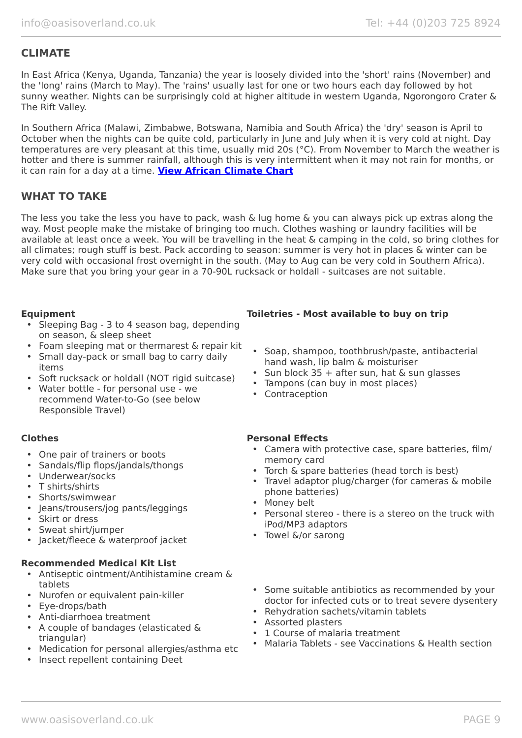# **CLIMATE**

In East Africa (Kenya, Uganda, Tanzania) the year is loosely divided into the 'short' rains (November) and the 'long' rains (March to May). The 'rains' usually last for one or two hours each day followed by hot sunny weather. Nights can be surprisingly cold at higher altitude in western Uganda, Ngorongoro Crater & The Rift Valley.

In Southern Africa (Malawi, Zimbabwe, Botswana, Namibia and South Africa) the 'dry' season is April to October when the nights can be quite cold, particularly in June and July when it is very cold at night. Day temperatures are very pleasant at this time, usually mid 20s (°C). From November to March the weather is hotter and there is summer rainfall, although this is very intermittent when it may not rain for months, or it can rain for a day at a time. **[View African Climate Chart](https://www.oasisoverland.co.uk/africa-climate-chart)**

# **WHAT TO TAKE**

The less you take the less you have to pack, wash & lug home & you can always pick up extras along the way. Most people make the mistake of bringing too much. Clothes washing or laundry facilities will be available at least once a week. You will be travelling in the heat & camping in the cold, so bring clothes for all climates; rough stuff is best. Pack according to season: summer is very hot in places & winter can be very cold with occasional frost overnight in the south. (May to Aug can be very cold in Southern Africa). Make sure that you bring your gear in a 70-90L rucksack or holdall - suitcases are not suitable.

- Sleeping Bag 3 to 4 season bag, depending on season, & sleep sheet
- Foam sleeping mat or thermarest & repair kit
- Small day-pack or small bag to carry daily items
- Soft rucksack or holdall (NOT rigid suitcase)
- Water bottle for personal use we recommend Water-to-Go (see below Responsible Travel)

- One pair of trainers or boots
- Sandals/flip flops/jandals/thongs
- Underwear/socks
- T shirts/shirts
- Shorts/swimwear
- Jeans/trousers/jog pants/leggings
- Skirt or dress
- Sweat shirt/jumper
- Jacket/fleece & waterproof jacket

### **Recommended Medical Kit List**

- Antiseptic ointment/Antihistamine cream & tablets
- Nurofen or equivalent pain-killer
- Eye-drops/bath
- Anti-diarrhoea treatment
- A couple of bandages (elasticated & triangular)
- Medication for personal allergies/asthma etc
- Insect repellent containing Deet

### **Equipment Toiletries - Most available to buy on trip**

- Soap, shampoo, toothbrush/paste, antibacterial hand wash, lip balm & moisturiser
- Sun block  $35 +$  after sun, hat & sun glasses
- Tampons (can buy in most places)
- Contraception

### **Clothes Personal Effects**

- Camera with protective case, spare batteries, film/ memory card
- Torch & spare batteries (head torch is best)
- Travel adaptor plug/charger (for cameras & mobile phone batteries)
- Money belt
- Personal stereo there is a stereo on the truck with iPod/MP3 adaptors
- Towel &/or sarong
- Some suitable antibiotics as recommended by your doctor for infected cuts or to treat severe dysentery
- Rehydration sachets/vitamin tablets
- Assorted plasters
- 1 Course of malaria treatment
- Malaria Tablets see Vaccinations & Health section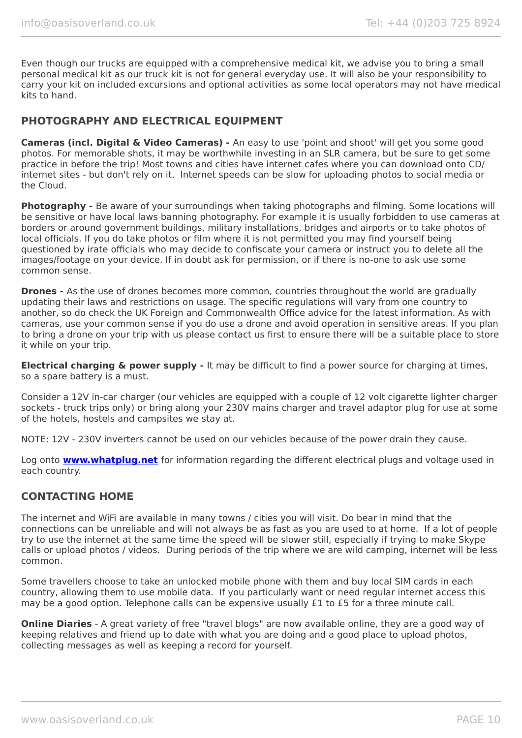Even though our trucks are equipped with a comprehensive medical kit, we advise you to bring a small personal medical kit as our truck kit is not for general everyday use. It will also be your responsibility to carry your kit on included excursions and optional activities as some local operators may not have medical kits to hand.

# **PHOTOGRAPHY AND ELECTRICAL EQUIPMENT**

**Cameras (incl. Digital & Video Cameras) -** An easy to use 'point and shoot' will get you some good photos. For memorable shots, it may be worthwhile investing in an SLR camera, but be sure to get some practice in before the trip! Most towns and cities have internet cafes where you can download onto CD/ internet sites - but don't rely on it. Internet speeds can be slow for uploading photos to social media or the Cloud.

**Photography -** Be aware of your surroundings when taking photographs and filming. Some locations will be sensitive or have local laws banning photography. For example it is usually forbidden to use cameras at borders or around government buildings, military installations, bridges and airports or to take photos of local officials. If you do take photos or film where it is not permitted you may find yourself being questioned by irate officials who may decide to confiscate your camera or instruct you to delete all the images/footage on your device. If in doubt ask for permission, or if there is no-one to ask use some common sense.

**Drones -** As the use of drones becomes more common, countries throughout the world are gradually updating their laws and restrictions on usage. The specific regulations will vary from one country to another, so do check the UK Foreign and Commonwealth Office advice for the latest information. As with cameras, use your common sense if you do use a drone and avoid operation in sensitive areas. If you plan to bring a drone on your trip with us please contact us first to ensure there will be a suitable place to store it while on your trip.

**Electrical charging & power supply -** It may be difficult to find a power source for charging at times, so a spare battery is a must.

Consider a 12V in-car charger (our vehicles are equipped with a couple of 12 volt cigarette lighter charger sockets - truck trips only) or bring along your 230V mains charger and travel adaptor plug for use at some of the hotels, hostels and campsites we stay at.

NOTE: 12V - 230V inverters cannot be used on our vehicles because of the power drain they cause.

Log onto **[www.whatplug.net](http://www.whatplug.net/)** for information regarding the different electrical plugs and voltage used in each country.

### **CONTACTING HOME**

The internet and WiFi are available in many towns / cities you will visit. Do bear in mind that the connections can be unreliable and will not always be as fast as you are used to at home. If a lot of people try to use the internet at the same time the speed will be slower still, especially if trying to make Skype calls or upload photos / videos. During periods of the trip where we are wild camping, internet will be less common.

Some travellers choose to take an unlocked mobile phone with them and buy local SIM cards in each country, allowing them to use mobile data. If you particularly want or need regular internet access this may be a good option. Telephone calls can be expensive usually £1 to £5 for a three minute call.

**Online Diaries** - A great variety of free "travel blogs" are now available online, they are a good way of keeping relatives and friend up to date with what you are doing and a good place to upload photos, collecting messages as well as keeping a record for yourself.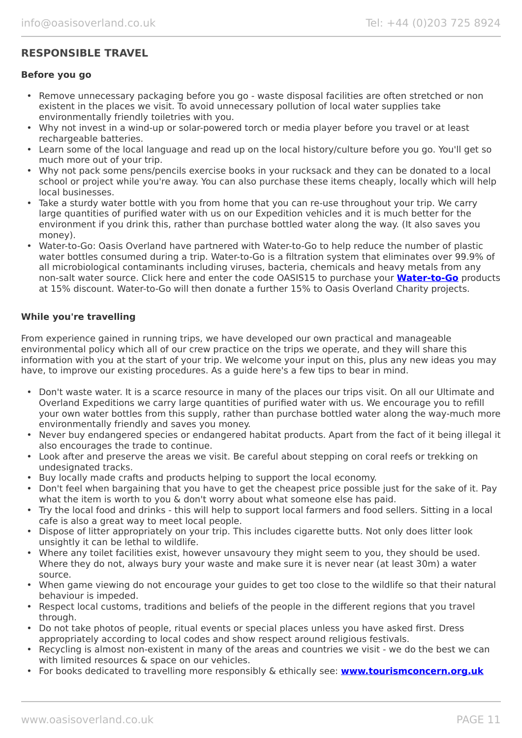# **RESPONSIBLE TRAVEL**

### **Before you go**

- Remove unnecessary packaging before you go waste disposal facilities are often stretched or non existent in the places we visit. To avoid unnecessary pollution of local water supplies take environmentally friendly toiletries with you.
- Why not invest in a wind-up or solar-powered torch or media player before you travel or at least rechargeable batteries.
- Learn some of the local language and read up on the local history/culture before you go. You'll get so much more out of your trip.
- Why not pack some pens/pencils exercise books in your rucksack and they can be donated to a local school or project while you're away. You can also purchase these items cheaply, locally which will help local businesses.
- Take a sturdy water bottle with you from home that you can re-use throughout your trip. We carry large quantities of purified water with us on our Expedition vehicles and it is much better for the environment if you drink this, rather than purchase bottled water along the way. (It also saves you money).
- Water-to-Go: Oasis Overland have partnered with Water-to-Go to help reduce the number of plastic water bottles consumed during a trip. Water-to-Go is a filtration system that eliminates over 99.9% of all microbiological contaminants including viruses, bacteria, chemicals and heavy metals from any non-salt water source. Click here and enter the code OASIS15 to purchase your **[Water-to-Go](https://watertogo.eu/partnerships/oasisoverland/)** products at 15% discount. Water-to-Go will then donate a further 15% to Oasis Overland Charity projects.

### **While you're travelling**

From experience gained in running trips, we have developed our own practical and manageable environmental policy which all of our crew practice on the trips we operate, and they will share this information with you at the start of your trip. We welcome your input on this, plus any new ideas you may have, to improve our existing procedures. As a guide here's a few tips to bear in mind.

- Don't waste water. It is a scarce resource in many of the places our trips visit. On all our Ultimate and Overland Expeditions we carry large quantities of purified water with us. We encourage you to refill your own water bottles from this supply, rather than purchase bottled water along the way-much more environmentally friendly and saves you money.
- Never buy endangered species or endangered habitat products. Apart from the fact of it being illegal it also encourages the trade to continue.
- Look after and preserve the areas we visit. Be careful about stepping on coral reefs or trekking on undesignated tracks.
- Buy locally made crafts and products helping to support the local economy.
- Don't feel when bargaining that you have to get the cheapest price possible just for the sake of it. Pay what the item is worth to you & don't worry about what someone else has paid.
- Try the local food and drinks this will help to support local farmers and food sellers. Sitting in a local cafe is also a great way to meet local people.
- Dispose of litter appropriately on your trip. This includes cigarette butts. Not only does litter look unsightly it can be lethal to wildlife.
- Where any toilet facilities exist, however unsavoury they might seem to you, they should be used. Where they do not, always bury your waste and make sure it is never near (at least 30m) a water source.
- When game viewing do not encourage your guides to get too close to the wildlife so that their natural behaviour is impeded.
- Respect local customs, traditions and beliefs of the people in the different regions that you travel through.
- Do not take photos of people, ritual events or special places unless you have asked first. Dress appropriately according to local codes and show respect around religious festivals.
- Recycling is almost non-existent in many of the areas and countries we visit we do the best we can with limited resources & space on our vehicles.
- For books dedicated to travelling more responsibly & ethically see: **[www.tourismconcern.org.uk](https://www.tourismconcern.org.uk/)**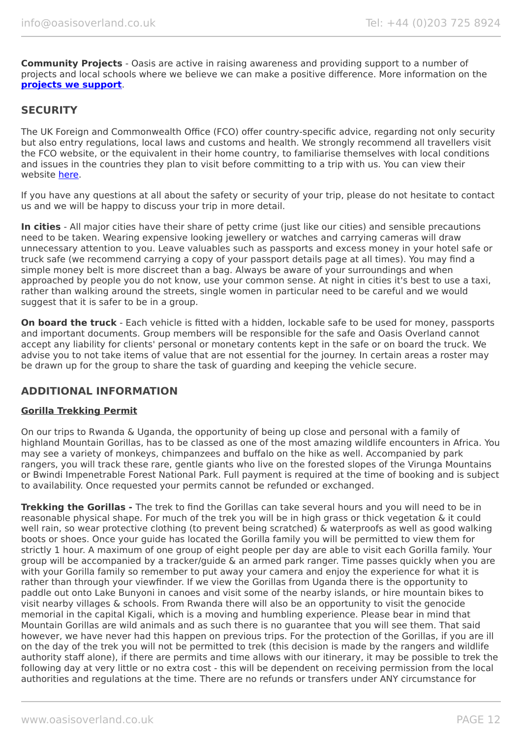**Community Projects** - Oasis are active in raising awareness and providing support to a number of projects and local schools where we believe we can make a positive difference. More information on the **[projects we support](https://www.oasisoverland.co.uk/responsible-travel/charities-we-support)**.

# **SECURITY**

The UK Foreign and Commonwealth Office (FCO) offer country-specific advice, regarding not only security but also entry regulations, local laws and customs and health. We strongly recommend all travellers visit the FCO website, or the equivalent in their home country, to familiarise themselves with local conditions and issues in the countries they plan to visit before committing to a trip with us. You can view their website [here.](https://www.gov.uk/foreign-travel-advice)

If you have any questions at all about the safety or security of your trip, please do not hesitate to contact us and we will be happy to discuss your trip in more detail.

**In cities** - All major cities have their share of petty crime (just like our cities) and sensible precautions need to be taken. Wearing expensive looking jewellery or watches and carrying cameras will draw unnecessary attention to you. Leave valuables such as passports and excess money in your hotel safe or truck safe (we recommend carrying a copy of your passport details page at all times). You may find a simple money belt is more discreet than a bag. Always be aware of your surroundings and when approached by people you do not know, use your common sense. At night in cities it's best to use a taxi, rather than walking around the streets, single women in particular need to be careful and we would suggest that it is safer to be in a group.

**On board the truck** - Each vehicle is fitted with a hidden, lockable safe to be used for money, passports and important documents. Group members will be responsible for the safe and Oasis Overland cannot accept any liability for clients' personal or monetary contents kept in the safe or on board the truck. We advise you to not take items of value that are not essential for the journey. In certain areas a roster may be drawn up for the group to share the task of guarding and keeping the vehicle secure.

# **ADDITIONAL INFORMATION**

### **Gorilla Trekking Permit**

On our trips to Rwanda & Uganda, the opportunity of being up close and personal with a family of highland Mountain Gorillas, has to be classed as one of the most amazing wildlife encounters in Africa. You may see a variety of monkeys, chimpanzees and buffalo on the hike as well. Accompanied by park rangers, you will track these rare, gentle giants who live on the forested slopes of the Virunga Mountains or Bwindi Impenetrable Forest National Park. Full payment is required at the time of booking and is subject to availability. Once requested your permits cannot be refunded or exchanged.

**Trekking the Gorillas -** The trek to find the Gorillas can take several hours and you will need to be in reasonable physical shape. For much of the trek you will be in high grass or thick vegetation & it could well rain, so wear protective clothing (to prevent being scratched) & waterproofs as well as good walking boots or shoes. Once your guide has located the Gorilla family you will be permitted to view them for strictly 1 hour. A maximum of one group of eight people per day are able to visit each Gorilla family. Your group will be accompanied by a tracker/guide & an armed park ranger. Time passes quickly when you are with your Gorilla family so remember to put away your camera and enjoy the experience for what it is rather than through your viewfinder. If we view the Gorillas from Uganda there is the opportunity to paddle out onto Lake Bunyoni in canoes and visit some of the nearby islands, or hire mountain bikes to visit nearby villages & schools. From Rwanda there will also be an opportunity to visit the genocide memorial in the capital Kigali, which is a moving and humbling experience. Please bear in mind that Mountain Gorillas are wild animals and as such there is no guarantee that you will see them. That said however, we have never had this happen on previous trips. For the protection of the Gorillas, if you are ill on the day of the trek you will not be permitted to trek (this decision is made by the rangers and wildlife authority staff alone), if there are permits and time allows with our itinerary, it may be possible to trek the following day at very little or no extra cost - this will be dependent on receiving permission from the local authorities and regulations at the time. There are no refunds or transfers under ANY circumstance for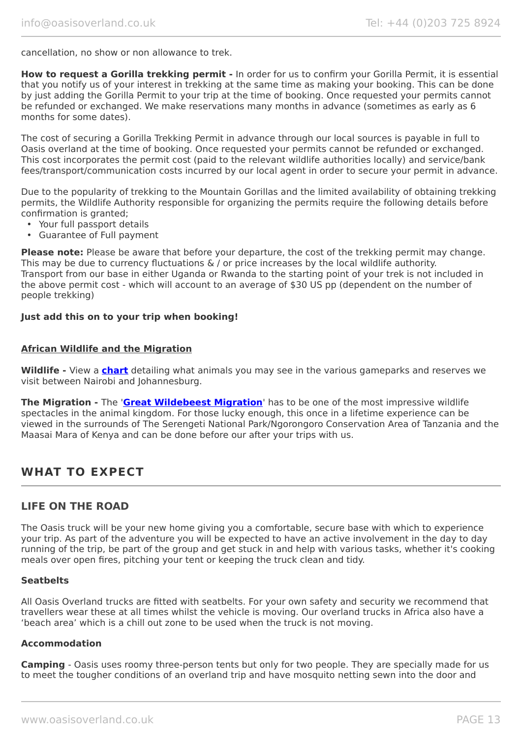cancellation, no show or non allowance to trek.

**How to request a Gorilla trekking permit -** In order for us to confirm your Gorilla Permit, it is essential that you notify us of your interest in trekking at the same time as making your booking. This can be done by just adding the Gorilla Permit to your trip at the time of booking. Once requested your permits cannot be refunded or exchanged. We make reservations many months in advance (sometimes as early as 6 months for some dates).

The cost of securing a Gorilla Trekking Permit in advance through our local sources is payable in full to Oasis overland at the time of booking. Once requested your permits cannot be refunded or exchanged. This cost incorporates the permit cost (paid to the relevant wildlife authorities locally) and service/bank fees/transport/communication costs incurred by our local agent in order to secure your permit in advance.

Due to the popularity of trekking to the Mountain Gorillas and the limited availability of obtaining trekking permits, the Wildlife Authority responsible for organizing the permits require the following details before confirmation is granted;

- Your full passport details
- Guarantee of Full payment

**Please note:** Please be aware that before your departure, the cost of the trekking permit may change. This may be due to currency fluctuations & / or price increases by the local wildlife authority. Transport from our base in either Uganda or Rwanda to the starting point of your trek is not included in the above permit cost - which will account to an average of \$30 US pp (dependent on the number of people trekking)

### **Just add this on to your trip when booking!**

### **African Wildlife and the Migration**

**Wildlife -** View a **[chart](https://www.oasisoverland.co.uk/african-wildlife-chart)** detailing what animals you may see in the various gameparks and reserves we visit between Nairobi and Johannesburg.

**The Migration -** The '**[Great Wildebeest Migration](https://www.oasisoverland.co.uk/the-great-wildebeest-migration)**' has to be one of the most impressive wildlife spectacles in the animal kingdom. For those lucky enough, this once in a lifetime experience can be viewed in the surrounds of The Serengeti National Park/Ngorongoro Conservation Area of Tanzania and the Maasai Mara of Kenya and can be done before our after your trips with us.

# **WHAT TO EXPECT**

### **LIFE ON THE ROAD**

The Oasis truck will be your new home giving you a comfortable, secure base with which to experience your trip. As part of the adventure you will be expected to have an active involvement in the day to day running of the trip, be part of the group and get stuck in and help with various tasks, whether it's cooking meals over open fires, pitching your tent or keeping the truck clean and tidy.

### **Seatbelts**

All Oasis Overland trucks are fitted with seatbelts. For your own safety and security we recommend that travellers wear these at all times whilst the vehicle is moving. Our overland trucks in Africa also have a 'beach area' which is a chill out zone to be used when the truck is not moving.

### **Accommodation**

**Camping** - Oasis uses roomy three-person tents but only for two people. They are specially made for us to meet the tougher conditions of an overland trip and have mosquito netting sewn into the door and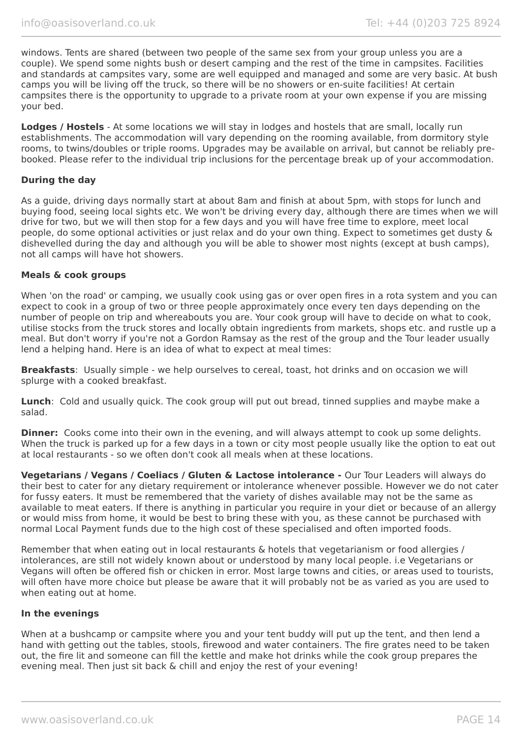windows. Tents are shared (between two people of the same sex from your group unless you are a couple). We spend some nights bush or desert camping and the rest of the time in campsites. Facilities and standards at campsites vary, some are well equipped and managed and some are very basic. At bush camps you will be living off the truck, so there will be no showers or en-suite facilities! At certain campsites there is the opportunity to upgrade to a private room at your own expense if you are missing your bed.

**Lodges / Hostels** - At some locations we will stay in lodges and hostels that are small, locally run establishments. The accommodation will vary depending on the rooming available, from dormitory style rooms, to twins/doubles or triple rooms. Upgrades may be available on arrival, but cannot be reliably prebooked. Please refer to the individual trip inclusions for the percentage break up of your accommodation.

### **During the day**

As a guide, driving days normally start at about 8am and finish at about 5pm, with stops for lunch and buying food, seeing local sights etc. We won't be driving every day, although there are times when we will drive for two, but we will then stop for a few days and you will have free time to explore, meet local people, do some optional activities or just relax and do your own thing. Expect to sometimes get dusty & dishevelled during the day and although you will be able to shower most nights (except at bush camps), not all camps will have hot showers.

### **Meals & cook groups**

When 'on the road' or camping, we usually cook using gas or over open fires in a rota system and you can expect to cook in a group of two or three people approximately once every ten days depending on the number of people on trip and whereabouts you are. Your cook group will have to decide on what to cook, utilise stocks from the truck stores and locally obtain ingredients from markets, shops etc. and rustle up a meal. But don't worry if you're not a Gordon Ramsay as the rest of the group and the Tour leader usually lend a helping hand. Here is an idea of what to expect at meal times:

**Breakfasts**: Usually simple - we help ourselves to cereal, toast, hot drinks and on occasion we will splurge with a cooked breakfast.

**Lunch**: Cold and usually quick. The cook group will put out bread, tinned supplies and maybe make a salad.

**Dinner:** Cooks come into their own in the evening, and will always attempt to cook up some delights. When the truck is parked up for a few days in a town or city most people usually like the option to eat out at local restaurants - so we often don't cook all meals when at these locations.

**Vegetarians / Vegans / Coeliacs / Gluten & Lactose intolerance -** Our Tour Leaders will always do their best to cater for any dietary requirement or intolerance whenever possible. However we do not cater for fussy eaters. It must be remembered that the variety of dishes available may not be the same as available to meat eaters. If there is anything in particular you require in your diet or because of an allergy or would miss from home, it would be best to bring these with you, as these cannot be purchased with normal Local Payment funds due to the high cost of these specialised and often imported foods.

Remember that when eating out in local restaurants & hotels that vegetarianism or food allergies / intolerances, are still not widely known about or understood by many local people. i.e Vegetarians or Vegans will often be offered fish or chicken in error. Most large towns and cities, or areas used to tourists, will often have more choice but please be aware that it will probably not be as varied as you are used to when eating out at home.

### **In the evenings**

When at a bushcamp or campsite where you and your tent buddy will put up the tent, and then lend a hand with getting out the tables, stools, firewood and water containers. The fire grates need to be taken out, the fire lit and someone can fill the kettle and make hot drinks while the cook group prepares the evening meal. Then just sit back & chill and enjoy the rest of your evening!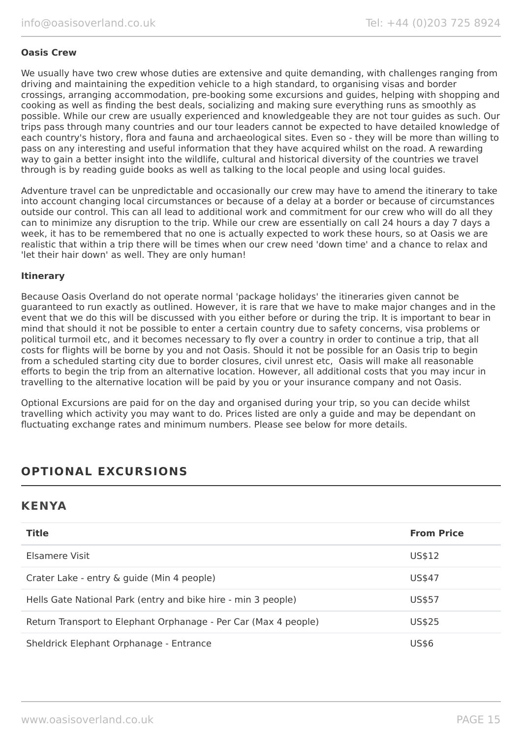### **Oasis Crew**

We usually have two crew whose duties are extensive and quite demanding, with challenges ranging from driving and maintaining the expedition vehicle to a high standard, to organising visas and border crossings, arranging accommodation, pre-booking some excursions and guides, helping with shopping and cooking as well as finding the best deals, socializing and making sure everything runs as smoothly as possible. While our crew are usually experienced and knowledgeable they are not tour guides as such. Our trips pass through many countries and our tour leaders cannot be expected to have detailed knowledge of each country's history, flora and fauna and archaeological sites. Even so - they will be more than willing to pass on any interesting and useful information that they have acquired whilst on the road. A rewarding way to gain a better insight into the wildlife, cultural and historical diversity of the countries we travel through is by reading guide books as well as talking to the local people and using local guides.

Adventure travel can be unpredictable and occasionally our crew may have to amend the itinerary to take into account changing local circumstances or because of a delay at a border or because of circumstances outside our control. This can all lead to additional work and commitment for our crew who will do all they can to minimize any disruption to the trip. While our crew are essentially on call 24 hours a day 7 days a week, it has to be remembered that no one is actually expected to work these hours, so at Oasis we are realistic that within a trip there will be times when our crew need 'down time' and a chance to relax and 'let their hair down' as well. They are only human!

### **Itinerary**

Because Oasis Overland do not operate normal 'package holidays' the itineraries given cannot be guaranteed to run exactly as outlined. However, it is rare that we have to make major changes and in the event that we do this will be discussed with you either before or during the trip. It is important to bear in mind that should it not be possible to enter a certain country due to safety concerns, visa problems or political turmoil etc, and it becomes necessary to fly over a country in order to continue a trip, that all costs for flights will be borne by you and not Oasis. Should it not be possible for an Oasis trip to begin from a scheduled starting city due to border closures, civil unrest etc, Oasis will make all reasonable efforts to begin the trip from an alternative location. However, all additional costs that you may incur in travelling to the alternative location will be paid by you or your insurance company and not Oasis.

Optional Excursions are paid for on the day and organised during your trip, so you can decide whilst travelling which activity you may want to do. Prices listed are only a guide and may be dependant on fluctuating exchange rates and minimum numbers. Please see below for more details.

# **OPTIONAL EXCURSIONS**

# **KENYA**

| <b>Title</b>                                                    | <b>From Price</b> |
|-----------------------------------------------------------------|-------------------|
| Elsamere Visit                                                  | US\$12            |
| Crater Lake - entry & guide (Min 4 people)                      | US\$47            |
| Hells Gate National Park (entry and bike hire - min 3 people)   | US\$57            |
| Return Transport to Elephant Orphanage - Per Car (Max 4 people) | US\$25            |
| Sheldrick Elephant Orphanage - Entrance                         | <b>US\$6</b>      |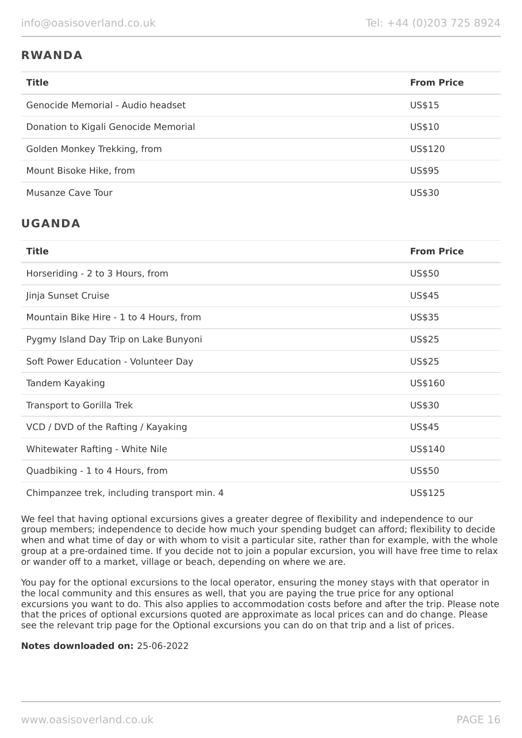# **RWANDA**

| <b>Title</b>                         | <b>From Price</b> |
|--------------------------------------|-------------------|
| Genocide Memorial - Audio headset    | US\$15            |
| Donation to Kigali Genocide Memorial | US\$10            |
| Golden Monkey Trekking, from         | US\$120           |
| Mount Bisoke Hike, from              | US\$95            |
| Musanze Cave Tour                    | US\$30            |

# **UGANDA**

| <b>Title</b>                                | <b>From Price</b> |
|---------------------------------------------|-------------------|
| Horseriding - 2 to 3 Hours, from            | US\$50            |
| Jinja Sunset Cruise                         | US\$45            |
| Mountain Bike Hire - 1 to 4 Hours, from     | US\$35            |
| Pygmy Island Day Trip on Lake Bunyoni       | US\$25            |
| Soft Power Education - Volunteer Day        | US\$25            |
| Tandem Kayaking                             | US\$160           |
| Transport to Gorilla Trek                   | US\$30            |
| VCD / DVD of the Rafting / Kayaking         | US\$45            |
| Whitewater Rafting - White Nile             | US\$140           |
| Quadbiking - 1 to 4 Hours, from             | US\$50            |
| Chimpanzee trek, including transport min. 4 | US\$125           |

We feel that having optional excursions gives a greater degree of flexibility and independence to our group members; independence to decide how much your spending budget can afford; flexibility to decide when and what time of day or with whom to visit a particular site, rather than for example, with the whole group at a pre-ordained time. If you decide not to join a popular excursion, you will have free time to relax or wander off to a market, village or beach, depending on where we are.

You pay for the optional excursions to the local operator, ensuring the money stays with that operator in the local community and this ensures as well, that you are paying the true price for any optional excursions you want to do. This also applies to accommodation costs before and after the trip. Please note that the prices of optional excursions quoted are approximate as local prices can and do change. Please see the relevant trip page for the Optional excursions you can do on that trip and a list of prices.

### **Notes downloaded on:** 25-06-2022